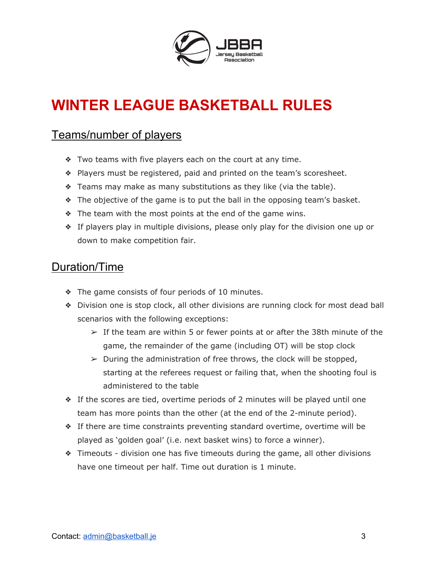

# **WINTER LEAGUE BASKETBALL RULES**

### Teams/number of players

- ❖ Two teams with five players each on the court at any time.
- ❖ Players must be registered, paid and printed on the team's scoresheet.
- $\triangle$  Teams may make as many substitutions as they like (via the table).
- ❖ The objective of the game is to put the ball in the opposing team's basket.
- ❖ The team with the most points at the end of the game wins.
- ❖ If players play in multiple divisions, please only play for the division one up or down to make competition fair.

#### Duration/Time

- ❖ The game consists of four periods of 10 minutes.
- ❖ Division one is stop clock, all other divisions are running clock for most dead ball scenarios with the following exceptions:
	- $\geq$  If the team are within 5 or fewer points at or after the 38th minute of the game, the remainder of the game (including OT) will be stop clock
	- $\triangleright$  During the administration of free throws, the clock will be stopped, starting at the referees request or failing that, when the shooting foul is administered to the table
- ❖ If the scores are tied, overtime periods of 2 minutes will be played until one team has more points than the other (at the end of the 2-minute period).
- ❖ If there are time constraints preventing standard overtime, overtime will be played as 'golden goal' (i.e. next basket wins) to force a winner).
- ❖ Timeouts division one has five timeouts during the game, all other divisions have one timeout per half. Time out duration is 1 minute.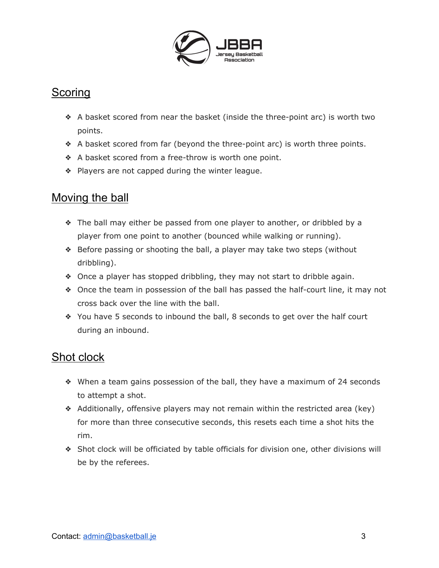

## **Scoring**

- ❖ A basket scored from near the basket (inside the three-point arc) is worth two points.
- ❖ A basket scored from far (beyond the three-point arc) is worth three points.
- ❖ A basket scored from a free-throw is worth one point.
- ❖ Players are not capped during the winter league.

# Moving the ball

- ❖ The ball may either be passed from one player to another, or dribbled by a player from one point to another (bounced while walking or running).
- ❖ Before passing or shooting the ball, a player may take two steps (without dribbling).
- ❖ Once a player has stopped dribbling, they may not start to dribble again.
- ❖ Once the team in possession of the ball has passed the half-court line, it may not cross back over the line with the ball.
- ❖ You have 5 seconds to inbound the ball, 8 seconds to get over the half court during an inbound.

# Shot clock

- ❖ When a team gains possession of the ball, they have a maximum of 24 seconds to attempt a shot.
- ❖ Additionally, offensive players may not remain within the restricted area (key) for more than three consecutive seconds, this resets each time a shot hits the rim.
- ❖ Shot clock will be officiated by table officials for division one, other divisions will be by the referees.